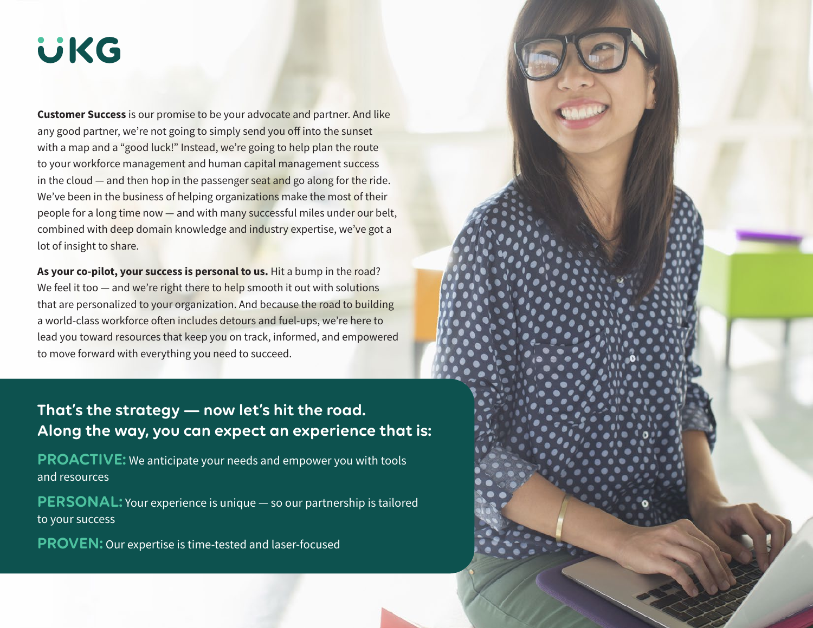# **UKG**

**Customer Success** is our promise to be your advocate and partner. And like any good partner, we're not going to simply send you off into the sunset with a map and a "good luck!" Instead, we're going to help plan the route to your workforce management and human capital management success in the cloud  $-$  and then hop in the passenger seat and go along for the ride. We've been in the business of helping organizations make the most of their people for a long time now — and with many successful miles under our belt, combined with deep domain knowledge and industry expertise, we've got a lot of insight to share.

**As your co-pilot, your success is personal to us.** Hit a bump in the road? We feel it too  $-$  and we're right there to help smooth it out with solutions that are personalized to your organization. And because the road to building a world-class workforce often includes detours and fuel-ups, we're here to lead you toward resources that keep you on track, informed, and empowered to move forward with everything you need to succeed.

# **That's the strategy — now let's hit the road. Along the way, you can expect an experience that is:**

**PROACTIVE:** We anticipate your needs and empower you with tools and resources

**PERSONAL:** Your experience is unique — so our partnership is tailored to your success

**PROVEN:** Our expertise is time-tested and laser-focused